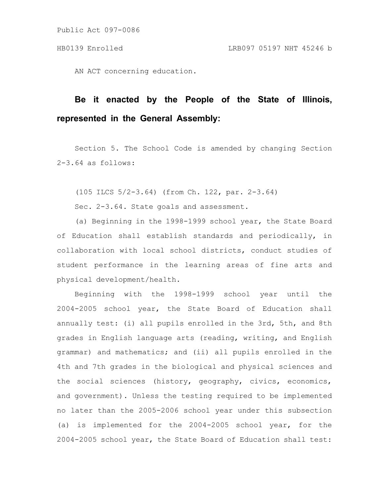AN ACT concerning education.

# **Be it enacted by the People of the State of Illinois, represented in the General Assembly:**

Section 5. The School Code is amended by changing Section 2-3.64 as follows:

(105 ILCS 5/2-3.64) (from Ch. 122, par. 2-3.64)

Sec. 2-3.64. State goals and assessment.

(a) Beginning in the 1998-1999 school year, the State Board of Education shall establish standards and periodically, in collaboration with local school districts, conduct studies of student performance in the learning areas of fine arts and physical development/health.

Beginning with the 1998-1999 school year until the 2004-2005 school year, the State Board of Education shall annually test: (i) all pupils enrolled in the 3rd, 5th, and 8th grades in English language arts (reading, writing, and English grammar) and mathematics; and (ii) all pupils enrolled in the 4th and 7th grades in the biological and physical sciences and the social sciences (history, geography, civics, economics, and government). Unless the testing required to be implemented no later than the 2005-2006 school year under this subsection (a) is implemented for the 2004-2005 school year, for the 2004-2005 school year, the State Board of Education shall test: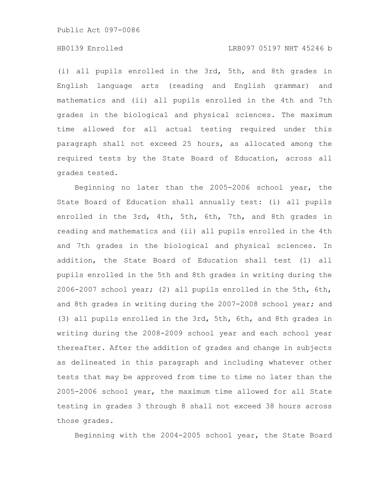# HB0139 Enrolled LRB097 05197 NHT 45246 b

(i) all pupils enrolled in the 3rd, 5th, and 8th grades in English language arts (reading and English grammar) and mathematics and (ii) all pupils enrolled in the 4th and 7th grades in the biological and physical sciences. The maximum time allowed for all actual testing required under this paragraph shall not exceed 25 hours, as allocated among the required tests by the State Board of Education, across all grades tested.

Beginning no later than the 2005-2006 school year, the State Board of Education shall annually test: (i) all pupils enrolled in the 3rd, 4th, 5th, 6th, 7th, and 8th grades in reading and mathematics and (ii) all pupils enrolled in the 4th and 7th grades in the biological and physical sciences. In addition, the State Board of Education shall test (1) all pupils enrolled in the 5th and 8th grades in writing during the 2006-2007 school year; (2) all pupils enrolled in the 5th, 6th, and 8th grades in writing during the 2007-2008 school year; and (3) all pupils enrolled in the 3rd, 5th, 6th, and 8th grades in writing during the 2008-2009 school year and each school year thereafter. After the addition of grades and change in subjects as delineated in this paragraph and including whatever other tests that may be approved from time to time no later than the 2005-2006 school year, the maximum time allowed for all State testing in grades 3 through 8 shall not exceed 38 hours across those grades.

Beginning with the 2004-2005 school year, the State Board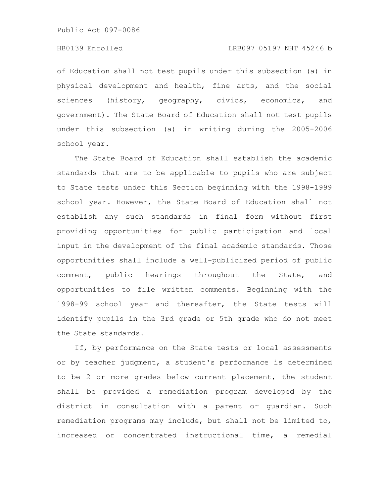# HB0139 Enrolled LRB097 05197 NHT 45246 b

of Education shall not test pupils under this subsection (a) in physical development and health, fine arts, and the social sciences (history, geography, civics, economics, and government). The State Board of Education shall not test pupils under this subsection (a) in writing during the 2005-2006 school year.

The State Board of Education shall establish the academic standards that are to be applicable to pupils who are subject to State tests under this Section beginning with the 1998-1999 school year. However, the State Board of Education shall not establish any such standards in final form without first providing opportunities for public participation and local input in the development of the final academic standards. Those opportunities shall include a well-publicized period of public comment, public hearings throughout the State, and opportunities to file written comments. Beginning with the 1998-99 school year and thereafter, the State tests will identify pupils in the 3rd grade or 5th grade who do not meet the State standards.

If, by performance on the State tests or local assessments or by teacher judgment, a student's performance is determined to be 2 or more grades below current placement, the student shall be provided a remediation program developed by the district in consultation with a parent or guardian. Such remediation programs may include, but shall not be limited to, increased or concentrated instructional time, a remedial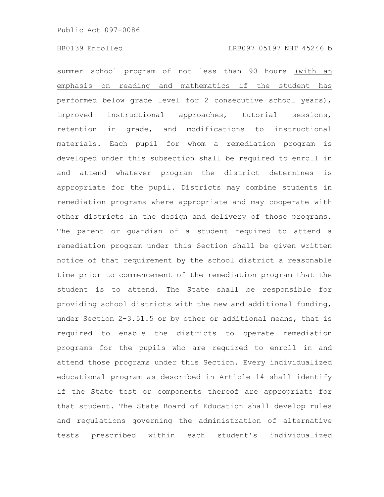summer school program of not less than 90 hours (with an emphasis on reading and mathematics if the student has performed below grade level for 2 consecutive school years), improved instructional approaches, tutorial sessions, retention in grade, and modifications to instructional materials. Each pupil for whom a remediation program is developed under this subsection shall be required to enroll in and attend whatever program the district determines is appropriate for the pupil. Districts may combine students in remediation programs where appropriate and may cooperate with other districts in the design and delivery of those programs. The parent or guardian of a student required to attend a remediation program under this Section shall be given written notice of that requirement by the school district a reasonable time prior to commencement of the remediation program that the student is to attend. The State shall be responsible for providing school districts with the new and additional funding, under Section 2-3.51.5 or by other or additional means, that is required to enable the districts to operate remediation programs for the pupils who are required to enroll in and attend those programs under this Section. Every individualized educational program as described in Article 14 shall identify if the State test or components thereof are appropriate for that student. The State Board of Education shall develop rules and regulations governing the administration of alternative tests prescribed within each student's individualized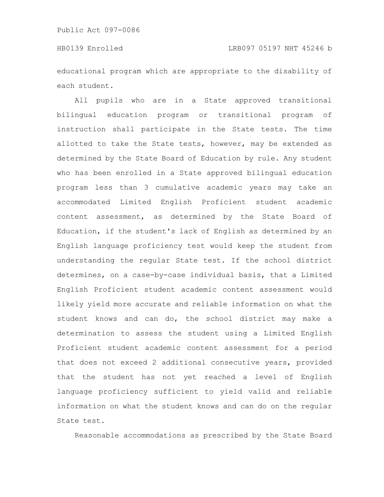educational program which are appropriate to the disability of each student.

All pupils who are in a State approved transitional bilingual education program or transitional program of instruction shall participate in the State tests. The time allotted to take the State tests, however, may be extended as determined by the State Board of Education by rule. Any student who has been enrolled in a State approved bilingual education program less than 3 cumulative academic years may take an accommodated Limited English Proficient student academic content assessment, as determined by the State Board of Education, if the student's lack of English as determined by an English language proficiency test would keep the student from understanding the regular State test. If the school district determines, on a case-by-case individual basis, that a Limited English Proficient student academic content assessment would likely yield more accurate and reliable information on what the student knows and can do, the school district may make a determination to assess the student using a Limited English Proficient student academic content assessment for a period that does not exceed 2 additional consecutive years, provided that the student has not yet reached a level of English language proficiency sufficient to yield valid and reliable information on what the student knows and can do on the regular State test.

Reasonable accommodations as prescribed by the State Board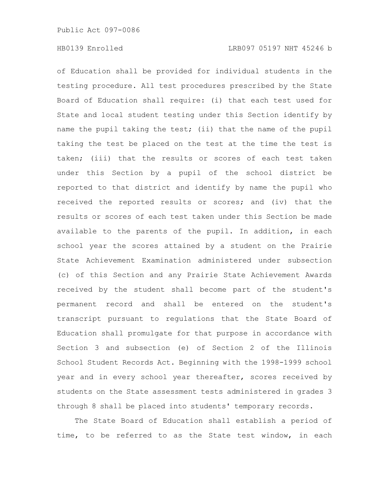of Education shall be provided for individual students in the testing procedure. All test procedures prescribed by the State Board of Education shall require: (i) that each test used for State and local student testing under this Section identify by name the pupil taking the test; (ii) that the name of the pupil taking the test be placed on the test at the time the test is taken; (iii) that the results or scores of each test taken under this Section by a pupil of the school district be reported to that district and identify by name the pupil who received the reported results or scores; and (iv) that the results or scores of each test taken under this Section be made available to the parents of the pupil. In addition, in each school year the scores attained by a student on the Prairie State Achievement Examination administered under subsection (c) of this Section and any Prairie State Achievement Awards received by the student shall become part of the student's permanent record and shall be entered on the student's transcript pursuant to regulations that the State Board of Education shall promulgate for that purpose in accordance with Section 3 and subsection (e) of Section 2 of the Illinois School Student Records Act. Beginning with the 1998-1999 school year and in every school year thereafter, scores received by students on the State assessment tests administered in grades 3 through 8 shall be placed into students' temporary records.

The State Board of Education shall establish a period of time, to be referred to as the State test window, in each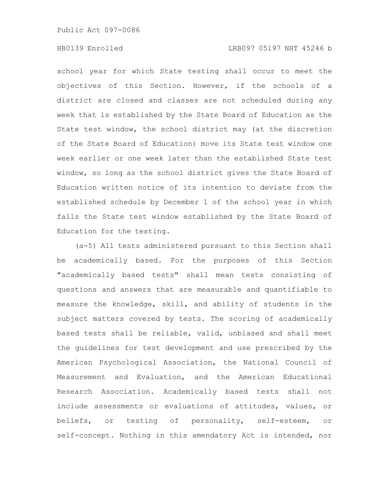school year for which State testing shall occur to meet the objectives of this Section. However, if the schools of a district are closed and classes are not scheduled during any week that is established by the State Board of Education as the State test window, the school district may (at the discretion of the State Board of Education) move its State test window one week earlier or one week later than the established State test window, so long as the school district gives the State Board of Education written notice of its intention to deviate from the established schedule by December 1 of the school year in which falls the State test window established by the State Board of Education for the testing.

(a-5) All tests administered pursuant to this Section shall be academically based. For the purposes of this Section "academically based tests" shall mean tests consisting of questions and answers that are measurable and quantifiable to measure the knowledge, skill, and ability of students in the subject matters covered by tests. The scoring of academically based tests shall be reliable, valid, unbiased and shall meet the guidelines for test development and use prescribed by the American Psychological Association, the National Council of Measurement and Evaluation, and the American Educational Research Association. Academically based tests shall not include assessments or evaluations of attitudes, values, or beliefs, or testing of personality, self-esteem, or self-concept. Nothing in this amendatory Act is intended, nor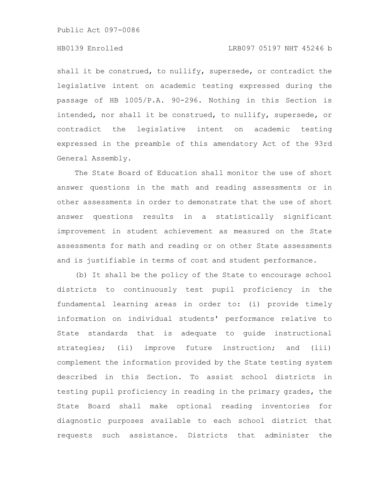# HB0139 Enrolled LRB097 05197 NHT 45246 b

shall it be construed, to nullify, supersede, or contradict the legislative intent on academic testing expressed during the passage of HB 1005/P.A. 90-296. Nothing in this Section is intended, nor shall it be construed, to nullify, supersede, or contradict the legislative intent on academic testing expressed in the preamble of this amendatory Act of the 93rd General Assembly.

The State Board of Education shall monitor the use of short answer questions in the math and reading assessments or in other assessments in order to demonstrate that the use of short answer questions results in a statistically significant improvement in student achievement as measured on the State assessments for math and reading or on other State assessments and is justifiable in terms of cost and student performance.

(b) It shall be the policy of the State to encourage school districts to continuously test pupil proficiency in the fundamental learning areas in order to: (i) provide timely information on individual students' performance relative to State standards that is adequate to guide instructional strategies; (ii) improve future instruction; and (iii) complement the information provided by the State testing system described in this Section. To assist school districts in testing pupil proficiency in reading in the primary grades, the State Board shall make optional reading inventories for diagnostic purposes available to each school district that requests such assistance. Districts that administer the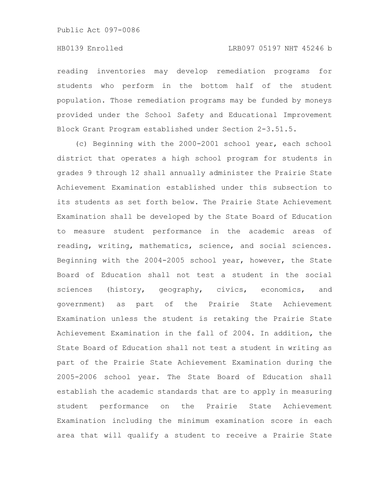reading inventories may develop remediation programs for students who perform in the bottom half of the student population. Those remediation programs may be funded by moneys provided under the School Safety and Educational Improvement Block Grant Program established under Section 2-3.51.5.

(c) Beginning with the 2000-2001 school year, each school district that operates a high school program for students in grades 9 through 12 shall annually administer the Prairie State Achievement Examination established under this subsection to its students as set forth below. The Prairie State Achievement Examination shall be developed by the State Board of Education to measure student performance in the academic areas of reading, writing, mathematics, science, and social sciences. Beginning with the 2004-2005 school year, however, the State Board of Education shall not test a student in the social sciences (history, geography, civics, economics, and government) as part of the Prairie State Achievement Examination unless the student is retaking the Prairie State Achievement Examination in the fall of 2004. In addition, the State Board of Education shall not test a student in writing as part of the Prairie State Achievement Examination during the 2005-2006 school year. The State Board of Education shall establish the academic standards that are to apply in measuring student performance on the Prairie State Achievement Examination including the minimum examination score in each area that will qualify a student to receive a Prairie State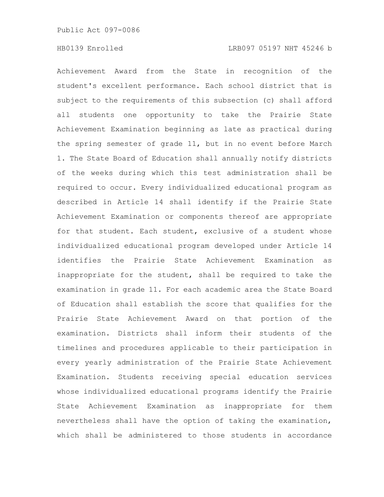Achievement Award from the State in recognition of the student's excellent performance. Each school district that is subject to the requirements of this subsection (c) shall afford all students one opportunity to take the Prairie State Achievement Examination beginning as late as practical during the spring semester of grade 11, but in no event before March 1. The State Board of Education shall annually notify districts of the weeks during which this test administration shall be required to occur. Every individualized educational program as described in Article 14 shall identify if the Prairie State Achievement Examination or components thereof are appropriate for that student. Each student, exclusive of a student whose individualized educational program developed under Article 14 identifies the Prairie State Achievement Examination as inappropriate for the student, shall be required to take the examination in grade 11. For each academic area the State Board of Education shall establish the score that qualifies for the Prairie State Achievement Award on that portion of the examination. Districts shall inform their students of the timelines and procedures applicable to their participation in every yearly administration of the Prairie State Achievement Examination. Students receiving special education services whose individualized educational programs identify the Prairie State Achievement Examination as inappropriate for them nevertheless shall have the option of taking the examination, which shall be administered to those students in accordance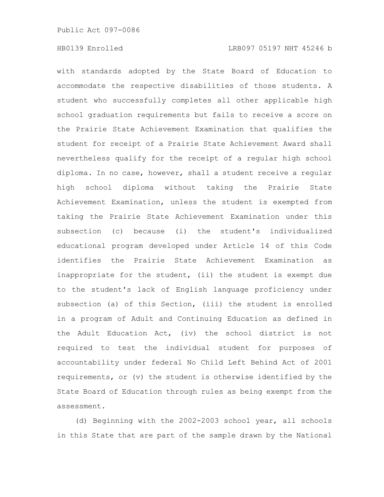with standards adopted by the State Board of Education to accommodate the respective disabilities of those students. A student who successfully completes all other applicable high school graduation requirements but fails to receive a score on the Prairie State Achievement Examination that qualifies the student for receipt of a Prairie State Achievement Award shall nevertheless qualify for the receipt of a regular high school diploma. In no case, however, shall a student receive a regular high school diploma without taking the Prairie State Achievement Examination, unless the student is exempted from taking the Prairie State Achievement Examination under this subsection (c) because (i) the student's individualized educational program developed under Article 14 of this Code identifies the Prairie State Achievement Examination as inappropriate for the student, (ii) the student is exempt due to the student's lack of English language proficiency under subsection (a) of this Section, (iii) the student is enrolled in a program of Adult and Continuing Education as defined in the Adult Education Act, (iv) the school district is not required to test the individual student for purposes of accountability under federal No Child Left Behind Act of 2001 requirements, or (v) the student is otherwise identified by the State Board of Education through rules as being exempt from the assessment.

(d) Beginning with the 2002-2003 school year, all schools in this State that are part of the sample drawn by the National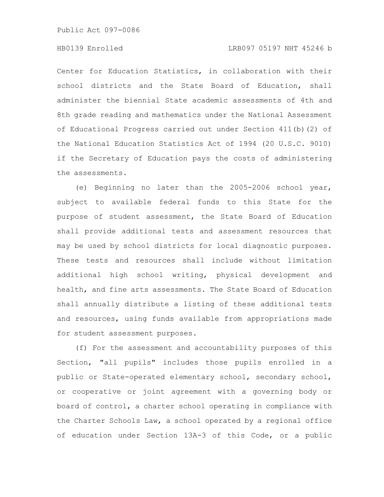# HB0139 Enrolled LRB097 05197 NHT 45246 b

Center for Education Statistics, in collaboration with their school districts and the State Board of Education, shall administer the biennial State academic assessments of 4th and 8th grade reading and mathematics under the National Assessment of Educational Progress carried out under Section 411(b)(2) of the National Education Statistics Act of 1994 (20 U.S.C. 9010) if the Secretary of Education pays the costs of administering the assessments.

(e) Beginning no later than the 2005-2006 school year, subject to available federal funds to this State for the purpose of student assessment, the State Board of Education shall provide additional tests and assessment resources that may be used by school districts for local diagnostic purposes. These tests and resources shall include without limitation additional high school writing, physical development and health, and fine arts assessments. The State Board of Education shall annually distribute a listing of these additional tests and resources, using funds available from appropriations made for student assessment purposes.

(f) For the assessment and accountability purposes of this Section, "all pupils" includes those pupils enrolled in a public or State-operated elementary school, secondary school, or cooperative or joint agreement with a governing body or board of control, a charter school operating in compliance with the Charter Schools Law, a school operated by a regional office of education under Section 13A-3 of this Code, or a public